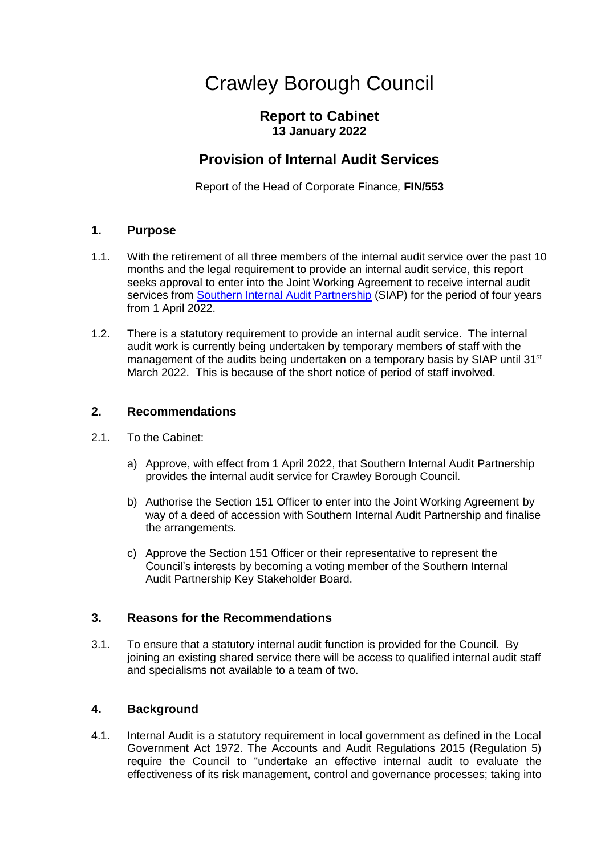# Crawley Borough Council

## **Report to Cabinet 13 January 2022**

## **Provision of Internal Audit Services**

Report of the Head of Corporate Finance*,* **FIN/553**

#### **1. Purpose**

- 1.1. With the retirement of all three members of the internal audit service over the past 10 months and the legal requirement to provide an internal audit service, this report seeks approval to enter into the Joint Working Agreement to receive internal audit services from [Southern Internal Audit Partnership](https://www.hants.gov.uk/business/siap) (SIAP) for the period of four years from 1 April 2022.
- 1.2. There is a statutory requirement to provide an internal audit service. The internal audit work is currently being undertaken by temporary members of staff with the management of the audits being undertaken on a temporary basis by SIAP until 31 $\mathrm{^{st}}$ March 2022. This is because of the short notice of period of staff involved.

#### **2. Recommendations**

- 2.1. To the Cabinet:
	- a) Approve, with effect from 1 April 2022, that Southern Internal Audit Partnership provides the internal audit service for Crawley Borough Council.
	- b) Authorise the Section 151 Officer to enter into the Joint Working Agreement by way of a deed of accession with Southern Internal Audit Partnership and finalise the arrangements.
	- c) Approve the Section 151 Officer or their representative to represent the Council's interests by becoming a voting member of the Southern Internal Audit Partnership Key Stakeholder Board.

#### **3. Reasons for the Recommendations**

3.1. To ensure that a statutory internal audit function is provided for the Council. By joining an existing shared service there will be access to qualified internal audit staff and specialisms not available to a team of two.

#### **4. Background**

4.1. Internal Audit is a statutory requirement in local government as defined in the Local Government Act 1972. The Accounts and Audit Regulations 2015 (Regulation 5) require the Council to "undertake an effective internal audit to evaluate the effectiveness of its risk management, control and governance processes; taking into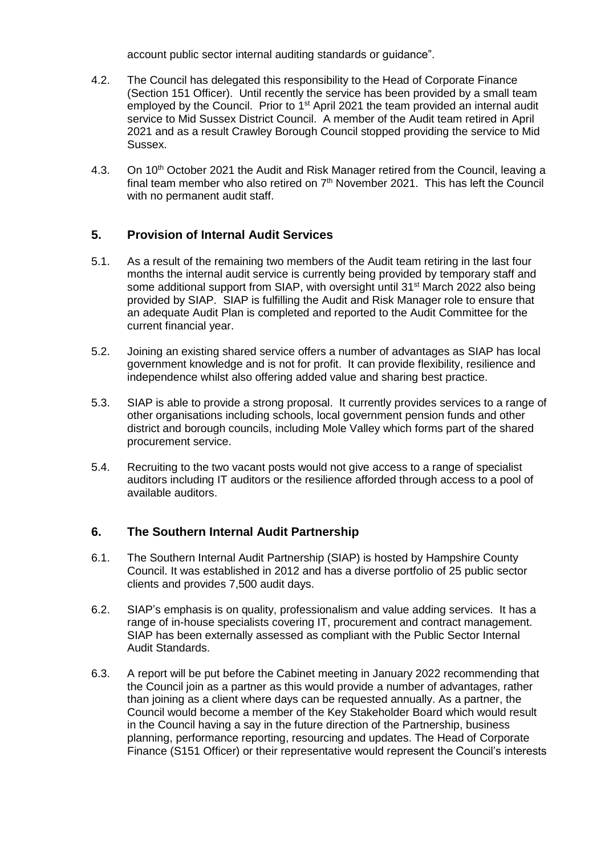account public sector internal auditing standards or guidance".

- 4.2. The Council has delegated this responsibility to the Head of Corporate Finance (Section 151 Officer). Until recently the service has been provided by a small team employed by the Council. Prior to  $1<sup>st</sup>$  April 2021 the team provided an internal audit service to Mid Sussex District Council. A member of the Audit team retired in April 2021 and as a result Crawley Borough Council stopped providing the service to Mid Sussex.
- 4.3. On 10<sup>th</sup> October 2021 the Audit and Risk Manager retired from the Council, leaving a final team member who also retired on  $7<sup>th</sup>$  November 2021. This has left the Council with no permanent audit staff.

### **5. Provision of Internal Audit Services**

- 5.1. As a result of the remaining two members of the Audit team retiring in the last four months the internal audit service is currently being provided by temporary staff and some additional support from SIAP, with oversight until 31<sup>st</sup> March 2022 also being provided by SIAP. SIAP is fulfilling the Audit and Risk Manager role to ensure that an adequate Audit Plan is completed and reported to the Audit Committee for the current financial year.
- 5.2. Joining an existing shared service offers a number of advantages as SIAP has local government knowledge and is not for profit. It can provide flexibility, resilience and independence whilst also offering added value and sharing best practice.
- 5.3. SIAP is able to provide a strong proposal. It currently provides services to a range of other organisations including schools, local government pension funds and other district and borough councils, including Mole Valley which forms part of the shared procurement service.
- 5.4. Recruiting to the two vacant posts would not give access to a range of specialist auditors including IT auditors or the resilience afforded through access to a pool of available auditors.

#### **6. The Southern Internal Audit Partnership**

- 6.1. The Southern Internal Audit Partnership (SIAP) is hosted by Hampshire County Council. It was established in 2012 and has a diverse portfolio of 25 public sector clients and provides 7,500 audit days.
- 6.2. SIAP's emphasis is on quality, professionalism and value adding services. It has a range of in-house specialists covering IT, procurement and contract management. SIAP has been externally assessed as compliant with the Public Sector Internal Audit Standards.
- 6.3. A report will be put before the Cabinet meeting in January 2022 recommending that the Council join as a partner as this would provide a number of advantages, rather than joining as a client where days can be requested annually. As a partner, the Council would become a member of the Key Stakeholder Board which would result in the Council having a say in the future direction of the Partnership, business planning, performance reporting, resourcing and updates. The Head of Corporate Finance (S151 Officer) or their representative would represent the Council's interests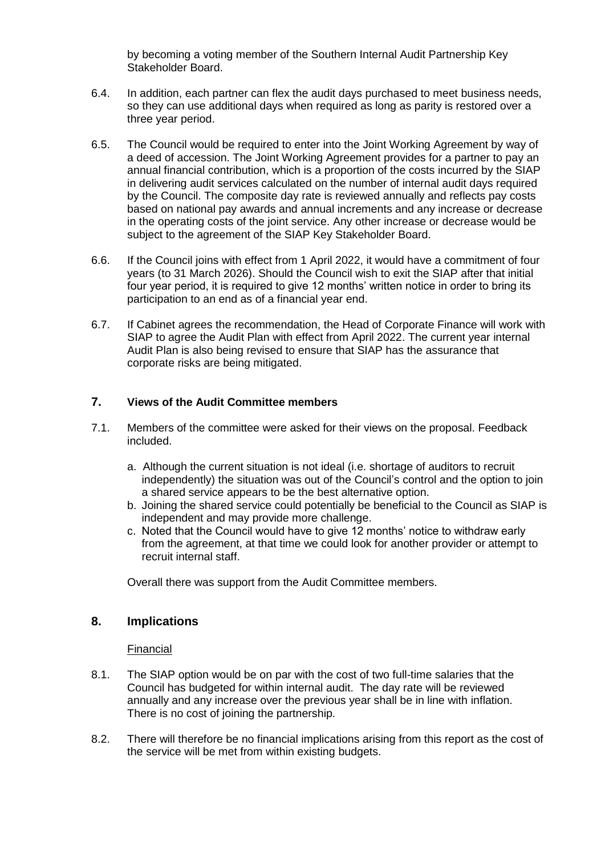by becoming a voting member of the Southern Internal Audit Partnership Key Stakeholder Board.

- 6.4. In addition, each partner can flex the audit days purchased to meet business needs, so they can use additional days when required as long as parity is restored over a three year period.
- 6.5. The Council would be required to enter into the Joint Working Agreement by way of a deed of accession. The Joint Working Agreement provides for a partner to pay an annual financial contribution, which is a proportion of the costs incurred by the SIAP in delivering audit services calculated on the number of internal audit days required by the Council. The composite day rate is reviewed annually and reflects pay costs based on national pay awards and annual increments and any increase or decrease in the operating costs of the joint service. Any other increase or decrease would be subject to the agreement of the SIAP Key Stakeholder Board.
- 6.6. If the Council joins with effect from 1 April 2022, it would have a commitment of four years (to 31 March 2026). Should the Council wish to exit the SIAP after that initial four year period, it is required to give 12 months' written notice in order to bring its participation to an end as of a financial year end.
- 6.7. If Cabinet agrees the recommendation, the Head of Corporate Finance will work with SIAP to agree the Audit Plan with effect from April 2022. The current year internal Audit Plan is also being revised to ensure that SIAP has the assurance that corporate risks are being mitigated.

#### **7. Views of the Audit Committee members**

- 7.1. Members of the committee were asked for their views on the proposal. Feedback included.
	- a. Although the current situation is not ideal (i.e. shortage of auditors to recruit independently) the situation was out of the Council's control and the option to join a shared service appears to be the best alternative option.
	- b. Joining the shared service could potentially be beneficial to the Council as SIAP is independent and may provide more challenge.
	- c. Noted that the Council would have to give 12 months' notice to withdraw early from the agreement, at that time we could look for another provider or attempt to recruit internal staff.

Overall there was support from the Audit Committee members.

#### **8. Implications**

#### **Financial**

- 8.1. The SIAP option would be on par with the cost of two full-time salaries that the Council has budgeted for within internal audit. The day rate will be reviewed annually and any increase over the previous year shall be in line with inflation. There is no cost of joining the partnership.
- 8.2. There will therefore be no financial implications arising from this report as the cost of the service will be met from within existing budgets.